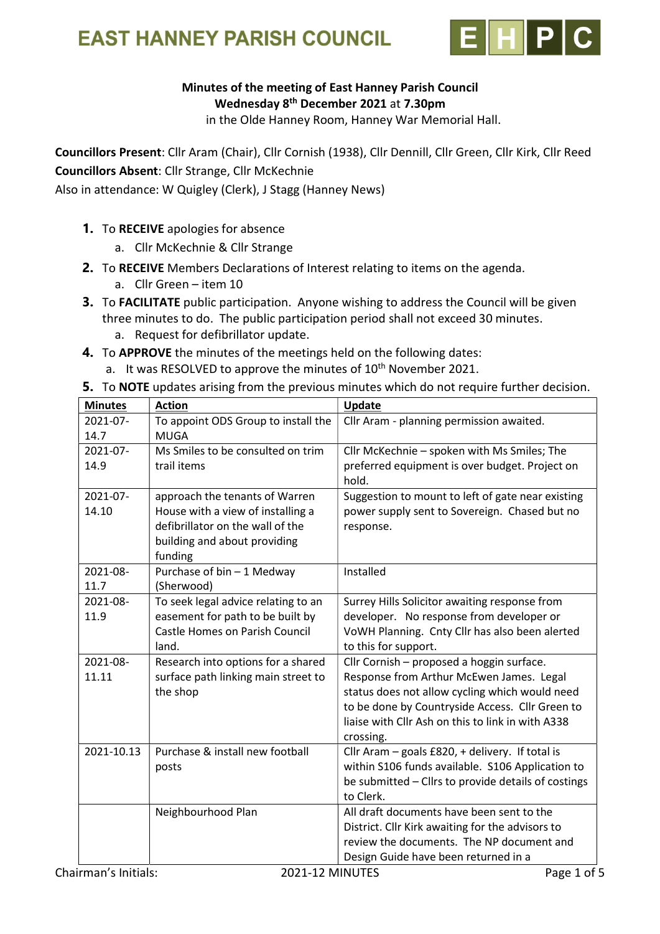



## Minutes of the meeting of East Hanney Parish Council Wednesday 8<sup>th</sup> December 2021 at 7.30pm

in the Olde Hanney Room, Hanney War Memorial Hall.

Councillors Present: Cllr Aram (Chair), Cllr Cornish (1938), Cllr Dennill, Cllr Green, Cllr Kirk, Cllr Reed Councillors Absent: Cllr Strange, Cllr McKechnie

Also in attendance: W Quigley (Clerk), J Stagg (Hanney News)

- 1. To RECEIVE apologies for absence
	- a. Cllr McKechnie & Cllr Strange
- 2. To RECEIVE Members Declarations of Interest relating to items on the agenda.
	- a. Cllr Green item 10
- **3.** To FACILITATE public participation. Anyone wishing to address the Council will be given three minutes to do. The public participation period shall not exceed 30 minutes.
	- a. Request for defibrillator update.
- 4. To APPROVE the minutes of the meetings held on the following dates: a. It was RESOLVED to approve the minutes of  $10<sup>th</sup>$  November 2021.
- 5. To NOTE updates arising from the previous minutes which do not require further decision.

| <b>Minutes</b> | <b>Action</b>                         | Update                                                  |
|----------------|---------------------------------------|---------------------------------------------------------|
| 2021-07-       | To appoint ODS Group to install the   | Cllr Aram - planning permission awaited.                |
| 14.7           | <b>MUGA</b>                           |                                                         |
| 2021-07-       | Ms Smiles to be consulted on trim     | Cllr McKechnie - spoken with Ms Smiles; The             |
| 14.9           | trail items                           | preferred equipment is over budget. Project on<br>hold. |
| 2021-07-       | approach the tenants of Warren        | Suggestion to mount to left of gate near existing       |
| 14.10          | House with a view of installing a     | power supply sent to Sovereign. Chased but no           |
|                | defibrillator on the wall of the      | response.                                               |
|                | building and about providing          |                                                         |
|                | funding                               |                                                         |
| 2021-08-       | Purchase of bin - 1 Medway            | Installed                                               |
| 11.7           | (Sherwood)                            |                                                         |
| 2021-08-       | To seek legal advice relating to an   | Surrey Hills Solicitor awaiting response from           |
| 11.9           | easement for path to be built by      | developer. No response from developer or                |
|                | <b>Castle Homes on Parish Council</b> | VoWH Planning. Cnty Cllr has also been alerted          |
|                | land.                                 | to this for support.                                    |
| 2021-08-       | Research into options for a shared    | Cllr Cornish - proposed a hoggin surface.               |
| 11.11          | surface path linking main street to   | Response from Arthur McEwen James. Legal                |
|                | the shop                              | status does not allow cycling which would need          |
|                |                                       | to be done by Countryside Access. Cllr Green to         |
|                |                                       | liaise with Cllr Ash on this to link in with A338       |
|                |                                       | crossing.                                               |
| 2021-10.13     | Purchase & install new football       | Cllr Aram - goals £820, + delivery. If total is         |
|                | posts                                 | within S106 funds available. S106 Application to        |
|                |                                       | be submitted - Cllrs to provide details of costings     |
|                |                                       | to Clerk.                                               |
|                | Neighbourhood Plan                    | All draft documents have been sent to the               |
|                |                                       | District. Cllr Kirk awaiting for the advisors to        |
|                |                                       | review the documents. The NP document and               |
|                |                                       | Design Guide have been returned in a                    |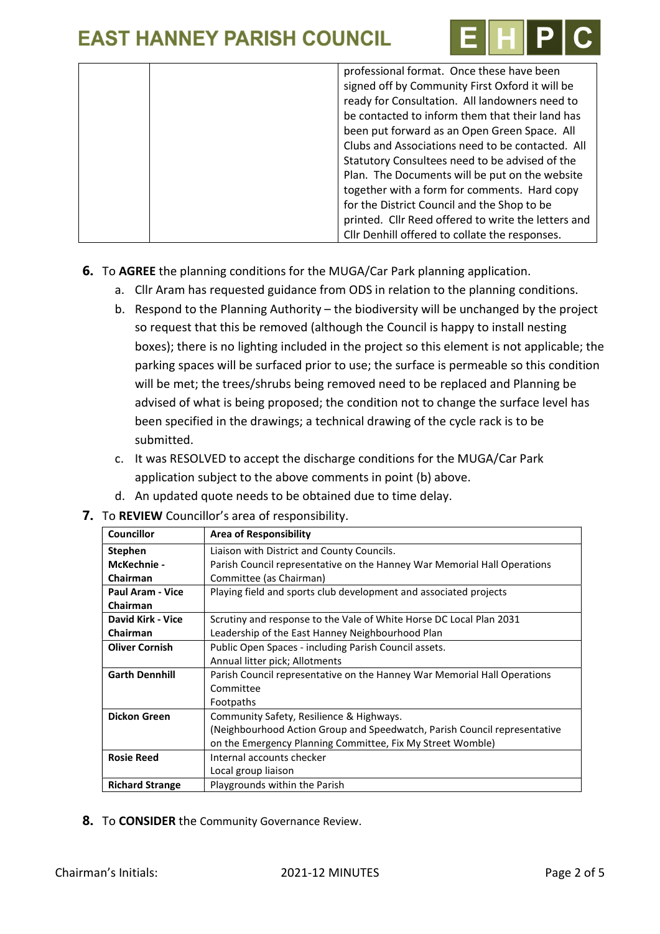

| professional format. Once these have been           |
|-----------------------------------------------------|
| signed off by Community First Oxford it will be     |
| ready for Consultation. All landowners need to      |
| be contacted to inform them that their land has     |
| been put forward as an Open Green Space. All        |
| Clubs and Associations need to be contacted. All    |
| Statutory Consultees need to be advised of the      |
| Plan. The Documents will be put on the website      |
| together with a form for comments. Hard copy        |
| for the District Council and the Shop to be         |
| printed. Cllr Reed offered to write the letters and |
| Cllr Denhill offered to collate the responses.      |

- 6. To AGREE the planning conditions for the MUGA/Car Park planning application.
	- a. Cllr Aram has requested guidance from ODS in relation to the planning conditions.
	- b. Respond to the Planning Authority the biodiversity will be unchanged by the project so request that this be removed (although the Council is happy to install nesting boxes); there is no lighting included in the project so this element is not applicable; the parking spaces will be surfaced prior to use; the surface is permeable so this condition will be met; the trees/shrubs being removed need to be replaced and Planning be advised of what is being proposed; the condition not to change the surface level has been specified in the drawings; a technical drawing of the cycle rack is to be submitted.
	- c. It was RESOLVED to accept the discharge conditions for the MUGA/Car Park application subject to the above comments in point (b) above.
	- d. An updated quote needs to be obtained due to time delay.
- 7. To REVIEW Councillor's area of responsibility.

| Councillor             | <b>Area of Responsibility</b>                                             |
|------------------------|---------------------------------------------------------------------------|
| <b>Stephen</b>         | Liaison with District and County Councils.                                |
| McKechnie -            | Parish Council representative on the Hanney War Memorial Hall Operations  |
| Chairman               | Committee (as Chairman)                                                   |
| Paul Aram - Vice       | Playing field and sports club development and associated projects         |
| <b>Chairman</b>        |                                                                           |
| David Kirk - Vice      | Scrutiny and response to the Vale of White Horse DC Local Plan 2031       |
| Chairman               | Leadership of the East Hanney Neighbourhood Plan                          |
| <b>Oliver Cornish</b>  | Public Open Spaces - including Parish Council assets.                     |
|                        | Annual litter pick; Allotments                                            |
| <b>Garth Dennhill</b>  | Parish Council representative on the Hanney War Memorial Hall Operations  |
|                        | Committee                                                                 |
|                        | Footpaths                                                                 |
| <b>Dickon Green</b>    | Community Safety, Resilience & Highways.                                  |
|                        | (Neighbourhood Action Group and Speedwatch, Parish Council representative |
|                        | on the Emergency Planning Committee, Fix My Street Womble)                |
| <b>Rosie Reed</b>      | Internal accounts checker                                                 |
|                        | Local group liaison                                                       |
| <b>Richard Strange</b> | Playgrounds within the Parish                                             |

8. To CONSIDER the Community Governance Review.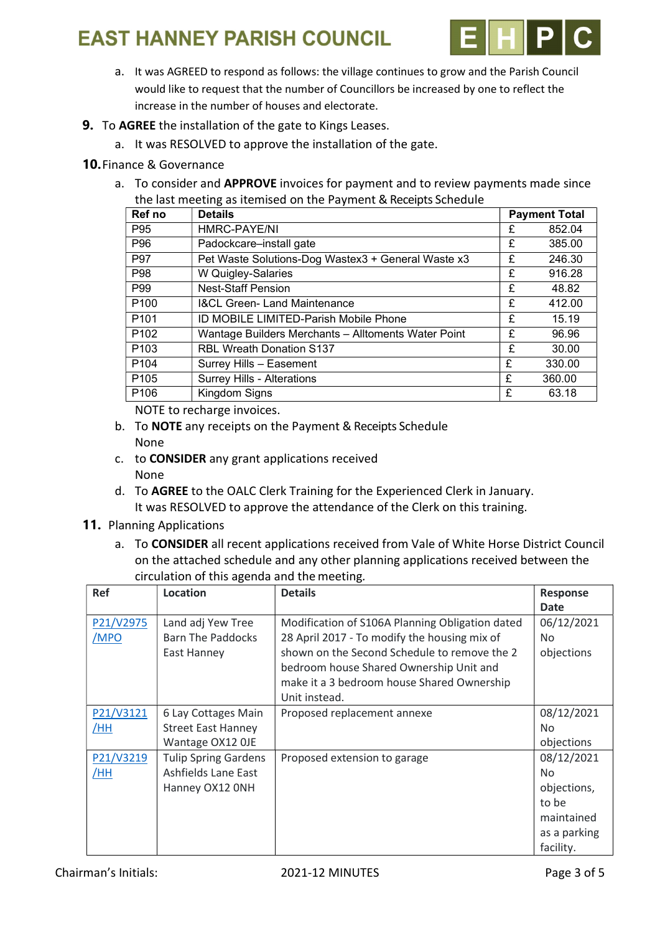# **EAST HANNEY PARISH COUNCIL**



- a. It was AGREED to respond as follows: the village continues to grow and the Parish Council would like to request that the number of Councillors be increased by one to reflect the increase in the number of houses and electorate.
- 9. To AGREE the installation of the gate to Kings Leases.
	- a. It was RESOLVED to approve the installation of the gate.

## 10.Finance & Governance

a. To consider and APPROVE invoices for payment and to review payments made since the last meeting as itemised on the Payment & Receipts Schedule

| Ref no           | <b>Details</b>                                      | <b>Payment Total</b> |        |
|------------------|-----------------------------------------------------|----------------------|--------|
| P95              | HMRC-PAYE/NI                                        | £                    | 852.04 |
| P96              | Padockcare-install gate                             | £                    | 385.00 |
| P97              | Pet Waste Solutions-Dog Wastex3 + General Waste x3  | £                    | 246.30 |
| P98              | W Quigley-Salaries                                  | £                    | 916.28 |
| P99              | <b>Nest-Staff Pension</b>                           | £                    | 48.82  |
| P <sub>100</sub> | <b>I&amp;CL Green- Land Maintenance</b>             | £                    | 412.00 |
| P <sub>101</sub> | ID MOBILE LIMITED-Parish Mobile Phone               | £                    | 15.19  |
| P <sub>102</sub> | Wantage Builders Merchants - Alltoments Water Point | £                    | 96.96  |
| P <sub>103</sub> | <b>RBL Wreath Donation S137</b>                     | £                    | 30.00  |
| P <sub>104</sub> | Surrey Hills - Easement                             | £                    | 330.00 |
| P <sub>105</sub> | Surrey Hills - Alterations                          | £                    | 360.00 |
| P <sub>106</sub> | Kingdom Signs                                       | £                    | 63.18  |

NOTE to recharge invoices.

- b. To NOTE any receipts on the Payment & Receipts Schedule None
- c. to CONSIDER any grant applications received None
- d. To AGREE to the OALC Clerk Training for the Experienced Clerk in January. It was RESOLVED to approve the attendance of the Clerk on this training.

### 11. Planning Applications

a. To CONSIDER all recent applications received from Vale of White Horse District Council on the attached schedule and any other planning applications received between the circulation of this agenda and the meeting.

| Ref               | Location                                                              | <b>Details</b>                                                                                                                                                                                                                                            | <b>Response</b>                                                                            |
|-------------------|-----------------------------------------------------------------------|-----------------------------------------------------------------------------------------------------------------------------------------------------------------------------------------------------------------------------------------------------------|--------------------------------------------------------------------------------------------|
|                   |                                                                       |                                                                                                                                                                                                                                                           | <b>Date</b>                                                                                |
| P21/V2975<br>/MPO | Land adj Yew Tree<br><b>Barn The Paddocks</b><br>East Hanney          | Modification of S106A Planning Obligation dated<br>28 April 2017 - To modify the housing mix of<br>shown on the Second Schedule to remove the 2<br>bedroom house Shared Ownership Unit and<br>make it a 3 bedroom house Shared Ownership<br>Unit instead. | 06/12/2021<br><b>No</b><br>objections                                                      |
| P21/V3121<br>/HH  | 6 Lay Cottages Main<br><b>Street East Hanney</b><br>Wantage OX12 OJE  | Proposed replacement annexe                                                                                                                                                                                                                               | 08/12/2021<br>N <sub>o</sub><br>objections                                                 |
| P21/V3219<br>/HH  | <b>Tulip Spring Gardens</b><br>Ashfields Lane East<br>Hanney OX12 ONH | Proposed extension to garage                                                                                                                                                                                                                              | 08/12/2021<br><b>No</b><br>objections,<br>to be<br>maintained<br>as a parking<br>facility. |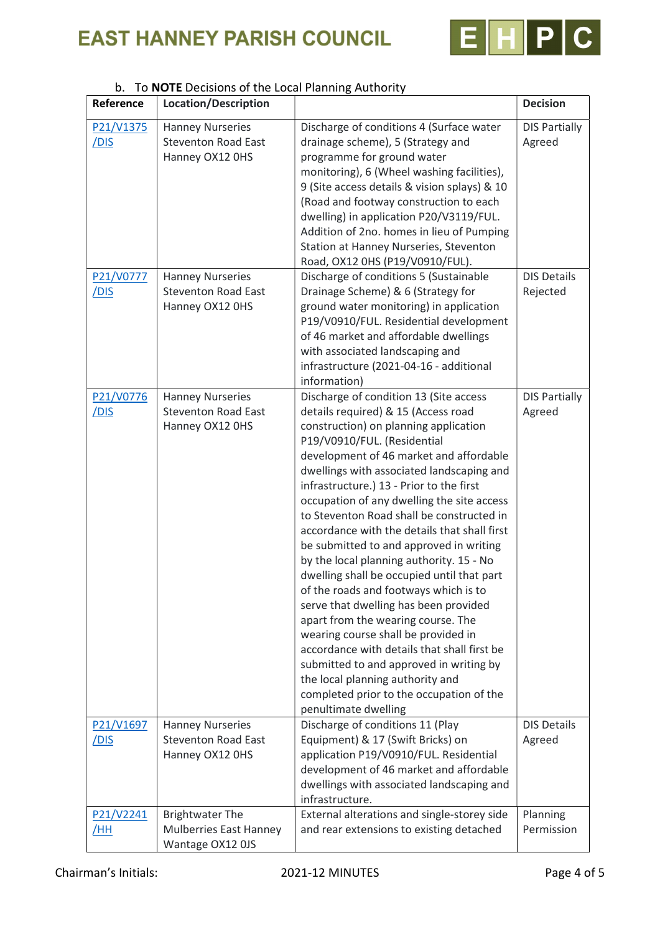# **EAST HANNEY PARISH COUNCIL**



#### Reference Location/Description density and the Decision P21/V1375 /DIS Hanney Nurseries Steventon Road East Hanney OX12 0HS Discharge of conditions 4 (Surface water drainage scheme), 5 (Strategy and programme for ground water monitoring), 6 (Wheel washing facilities), 9 (Site access details & vision splays) & 10 (Road and footway construction to each dwelling) in application P20/V3119/FUL. Addition of 2no. homes in lieu of Pumping Station at Hanney Nurseries, Steventon Road, OX12 0HS (P19/V0910/FUL). DIS Partially Agreed P21/V0777 /DIS Hanney Nurseries Steventon Road East Hanney OX12 0HS Discharge of conditions 5 (Sustainable Drainage Scheme) & 6 (Strategy for ground water monitoring) in application P19/V0910/FUL. Residential development of 46 market and affordable dwellings with associated landscaping and infrastructure (2021-04-16 - additional information) DIS Details Rejected P21/V0776 /DIS Hanney Nurseries Steventon Road East Hanney OX12 0HS Discharge of condition 13 (Site access details required) & 15 (Access road construction) on planning application P19/V0910/FUL. (Residential development of 46 market and affordable dwellings with associated landscaping and infrastructure.) 13 - Prior to the first occupation of any dwelling the site access to Steventon Road shall be constructed in accordance with the details that shall first be submitted to and approved in writing by the local planning authority. 15 - No dwelling shall be occupied until that part of the roads and footways which is to serve that dwelling has been provided apart from the wearing course. The wearing course shall be provided in accordance with details that shall first be submitted to and approved in writing by the local planning authority and completed prior to the occupation of the penultimate dwelling DIS Partially Agreed P21/V1697 /DIS Hanney Nurseries Steventon Road East Hanney OX12 0HS Discharge of conditions 11 (Play Equipment) & 17 (Swift Bricks) on application P19/V0910/FUL. Residential development of 46 market and affordable dwellings with associated landscaping and infrastructure. DIS Details Agreed P21/V2241 /HH Brightwater The Mulberries East Hanney Wantage OX12 0JS External alterations and single-storey side and rear extensions to existing detached Planning Permission

#### b. To NOTE Decisions of the Local Planning Authority